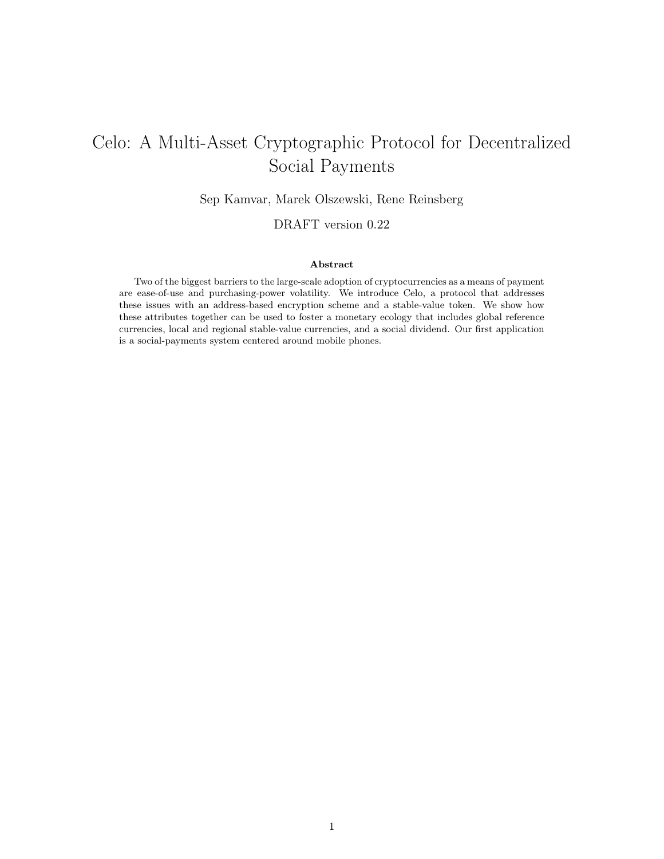# Celo: A Multi-Asset Cryptographic Protocol for Decentralized Social Payments

Sep Kamvar, Marek Olszewski, Rene Reinsberg

DRAFT version 0.22

#### Abstract

Two of the biggest barriers to the large-scale adoption of cryptocurrencies as a means of payment are ease-of-use and purchasing-power volatility. We introduce Celo, a protocol that addresses these issues with an address-based encryption scheme and a stable-value token. We show how these attributes together can be used to foster a monetary ecology that includes global reference currencies, local and regional stable-value currencies, and a social dividend. Our first application is a social-payments system centered around mobile phones.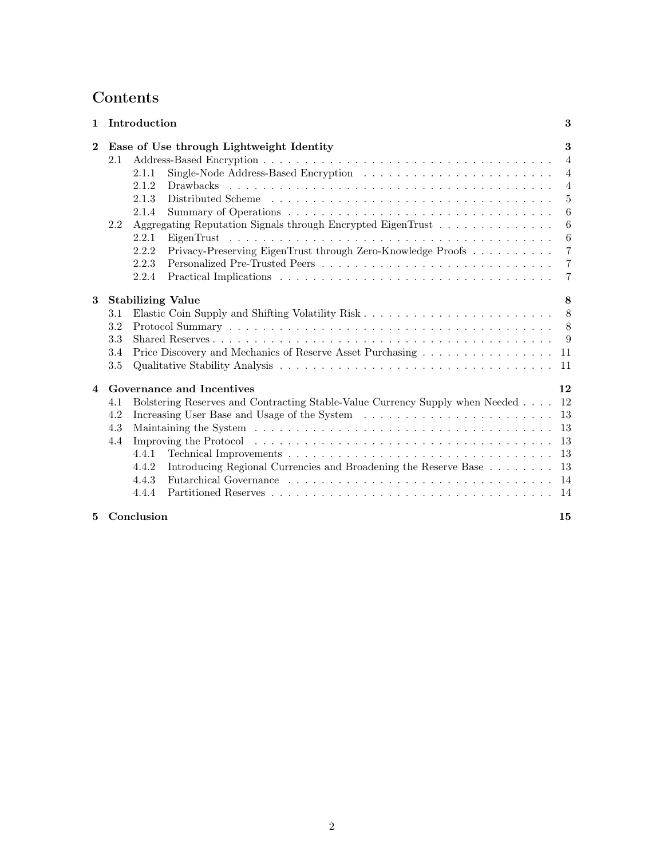## Contents

| $\mathbf{1}$ |     | Introduction                                                                                     | 3              |
|--------------|-----|--------------------------------------------------------------------------------------------------|----------------|
| $\bf{2}$     |     | Ease of Use through Lightweight Identity                                                         | 3              |
|              | 2.1 |                                                                                                  | $\overline{4}$ |
|              |     | 2.1.1                                                                                            | 4              |
|              |     | 2.1.2                                                                                            | $\overline{4}$ |
|              |     | 2.1.3                                                                                            | 5              |
|              |     | 2.1.4                                                                                            | 6              |
|              | 2.2 | Aggregating Reputation Signals through Encrypted EigenTrust $\ldots \ldots \ldots \ldots \ldots$ | 6              |
|              |     | 2.2.1                                                                                            | 6              |
|              |     | Privacy-Preserving EigenTrust through Zero-Knowledge Proofs<br>2.2.2                             | $\overline{7}$ |
|              |     | 2.2.3                                                                                            | 7              |
|              |     | 2.2.4                                                                                            | 7              |
| 3            |     | <b>Stabilizing Value</b>                                                                         | 8              |
|              | 3.1 |                                                                                                  | 8              |
|              | 3.2 |                                                                                                  | 8              |
|              | 3.3 |                                                                                                  | 9              |
|              | 3.4 | Price Discovery and Mechanics of Reserve Asset Purchasing                                        | -11            |
|              | 3.5 |                                                                                                  | 11             |
| 4            |     | Governance and Incentives                                                                        | 12             |
|              | 4.1 |                                                                                                  | 12             |
|              | 4.2 | Bolstering Reserves and Contracting Stable-Value Currency Supply when Needed                     |                |
|              |     |                                                                                                  | 13             |
|              | 4.3 |                                                                                                  | -13            |
|              | 4.4 |                                                                                                  | -13            |
|              |     | 4.4.1                                                                                            | -13            |
|              |     | Introducing Regional Currencies and Broadening the Reserve Base 13<br>4.4.2                      |                |
|              |     | 4.4.3                                                                                            | - 14           |
|              |     | 4.4.4                                                                                            |                |
| 5.           |     | Conclusion                                                                                       | 15             |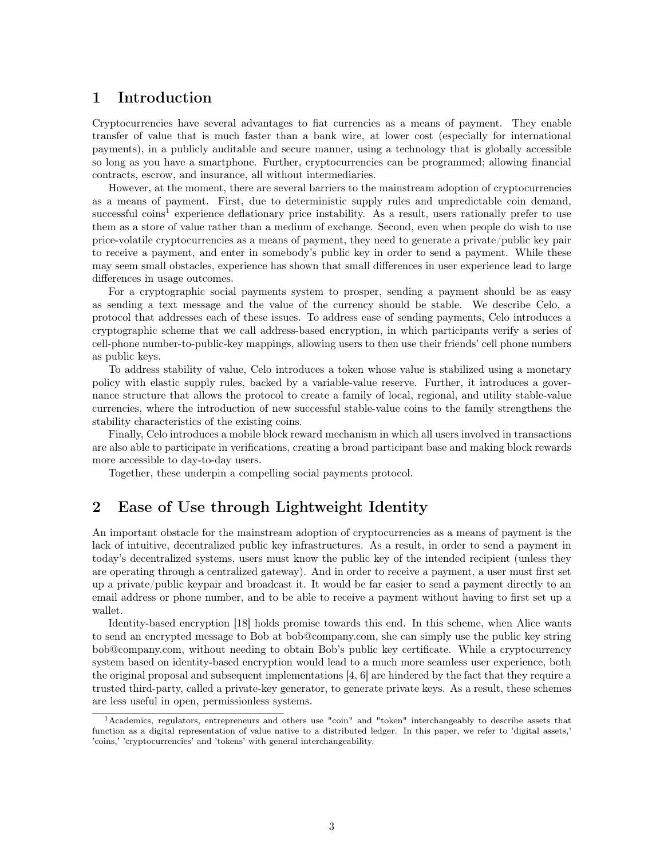### <span id="page-2-0"></span>1 Introduction

Cryptocurrencies have several advantages to fiat currencies as a means of payment. They enable transfer of value that is much faster than a bank wire, at lower cost (especially for international payments), in a publicly auditable and secure manner, using a technology that is globally accessible so long as you have a smartphone. Further, cryptocurrencies can be programmed; allowing financial contracts, escrow, and insurance, all without intermediaries.

However, at the moment, there are several barriers to the mainstream adoption of cryptocurrencies as a means of payment. First, due to deterministic supply rules and unpredictable coin demand, successful coins<sup>[1](#page-2-2)</sup> experience deflationary price instability. As a result, users rationally prefer to use them as a store of value rather than a medium of exchange. Second, even when people do wish to use price-volatile cryptocurrencies as a means of payment, they need to generate a private/public key pair to receive a payment, and enter in somebody's public key in order to send a payment. While these may seem small obstacles, experience has shown that small differences in user experience lead to large differences in usage outcomes.

For a cryptographic social payments system to prosper, sending a payment should be as easy as sending a text message and the value of the currency should be stable. We describe Celo, a protocol that addresses each of these issues. To address ease of sending payments, Celo introduces a cryptographic scheme that we call address-based encryption, in which participants verify a series of cell-phone number-to-public-key mappings, allowing users to then use their friends' cell phone numbers as public keys.

To address stability of value, Celo introduces a token whose value is stabilized using a monetary policy with elastic supply rules, backed by a variable-value reserve. Further, it introduces a governance structure that allows the protocol to create a family of local, regional, and utility stable-value currencies, where the introduction of new successful stable-value coins to the family strengthens the stability characteristics of the existing coins.

Finally, Celo introduces a mobile block reward mechanism in which all users involved in transactions are also able to participate in verifications, creating a broad participant base and making block rewards more accessible to day-to-day users.

Together, these underpin a compelling social payments protocol.

## <span id="page-2-1"></span>2 Ease of Use through Lightweight Identity

An important obstacle for the mainstream adoption of cryptocurrencies as a means of payment is the lack of intuitive, decentralized public key infrastructures. As a result, in order to send a payment in today's decentralized systems, users must know the public key of the intended recipient (unless they are operating through a centralized gateway). And in order to receive a payment, a user must first set up a private/public keypair and broadcast it. It would be far easier to send a payment directly to an email address or phone number, and to be able to receive a payment without having to first set up a wallet.

Identity-based encryption [\[18\]](#page-14-1) holds promise towards this end. In this scheme, when Alice wants to send an encrypted message to Bob at bob@company.com, she can simply use the public key string bob@company.com, without needing to obtain Bob's public key certificate. While a cryptocurrency system based on identity-based encryption would lead to a much more seamless user experience, both the original proposal and subsequent implementations [\[4,](#page-14-2) [6\]](#page-14-3) are hindered by the fact that they require a trusted third-party, called a private-key generator, to generate private keys. As a result, these schemes are less useful in open, permissionless systems.

<span id="page-2-2"></span><sup>1</sup>Academics, regulators, entrepreneurs and others use "coin" and "token" interchangeably to describe assets that function as a digital representation of value native to a distributed ledger. In this paper, we refer to 'digital assets,' 'coins,' 'cryptocurrencies' and 'tokens' with general interchangeability.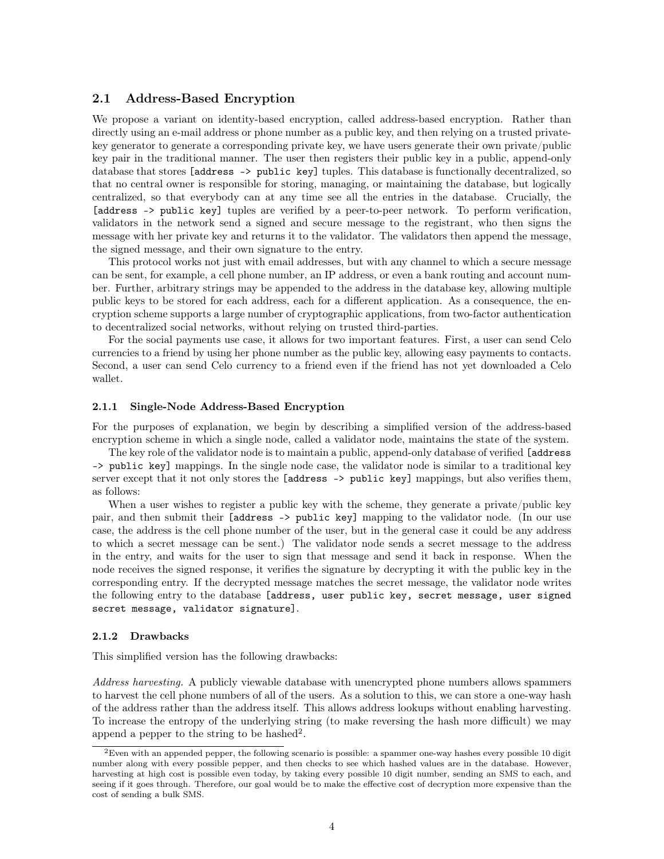#### <span id="page-3-0"></span>2.1 Address-Based Encryption

We propose a variant on identity-based encryption, called address-based encryption. Rather than directly using an e-mail address or phone number as a public key, and then relying on a trusted privatekey generator to generate a corresponding private key, we have users generate their own private/public key pair in the traditional manner. The user then registers their public key in a public, append-only database that stores [address -> public key] tuples. This database is functionally decentralized, so that no central owner is responsible for storing, managing, or maintaining the database, but logically centralized, so that everybody can at any time see all the entries in the database. Crucially, the [address -> public key] tuples are verified by a peer-to-peer network. To perform verification, validators in the network send a signed and secure message to the registrant, who then signs the message with her private key and returns it to the validator. The validators then append the message, the signed message, and their own signature to the entry.

This protocol works not just with email addresses, but with any channel to which a secure message can be sent, for example, a cell phone number, an IP address, or even a bank routing and account number. Further, arbitrary strings may be appended to the address in the database key, allowing multiple public keys to be stored for each address, each for a different application. As a consequence, the encryption scheme supports a large number of cryptographic applications, from two-factor authentication to decentralized social networks, without relying on trusted third-parties.

For the social payments use case, it allows for two important features. First, a user can send Celo currencies to a friend by using her phone number as the public key, allowing easy payments to contacts. Second, a user can send Celo currency to a friend even if the friend has not yet downloaded a Celo wallet.

#### <span id="page-3-1"></span>2.1.1 Single-Node Address-Based Encryption

For the purposes of explanation, we begin by describing a simplified version of the address-based encryption scheme in which a single node, called a validator node, maintains the state of the system.

The key role of the validator node is to maintain a public, append-only database of verified [address -> public key] mappings. In the single node case, the validator node is similar to a traditional key server except that it not only stores the [address -> public key] mappings, but also verifies them, as follows:

When a user wishes to register a public key with the scheme, they generate a private/public key pair, and then submit their [address -> public key] mapping to the validator node. (In our use case, the address is the cell phone number of the user, but in the general case it could be any address to which a secret message can be sent.) The validator node sends a secret message to the address in the entry, and waits for the user to sign that message and send it back in response. When the node receives the signed response, it verifies the signature by decrypting it with the public key in the corresponding entry. If the decrypted message matches the secret message, the validator node writes the following entry to the database [address, user public key, secret message, user signed secret message, validator signature].

#### <span id="page-3-2"></span>2.1.2 Drawbacks

This simplified version has the following drawbacks:

Address harvesting. A publicly viewable database with unencrypted phone numbers allows spammers to harvest the cell phone numbers of all of the users. As a solution to this, we can store a one-way hash of the address rather than the address itself. This allows address lookups without enabling harvesting. To increase the entropy of the underlying string (to make reversing the hash more difficult) we may append a pepper to the string to be hashed<sup>[2](#page-3-3)</sup>.

<span id="page-3-3"></span> ${}^{2}$ Even with an appended pepper, the following scenario is possible: a spammer one-way hashes every possible 10 digit number along with every possible pepper, and then checks to see which hashed values are in the database. However, harvesting at high cost is possible even today, by taking every possible 10 digit number, sending an SMS to each, and seeing if it goes through. Therefore, our goal would be to make the effective cost of decryption more expensive than the cost of sending a bulk SMS.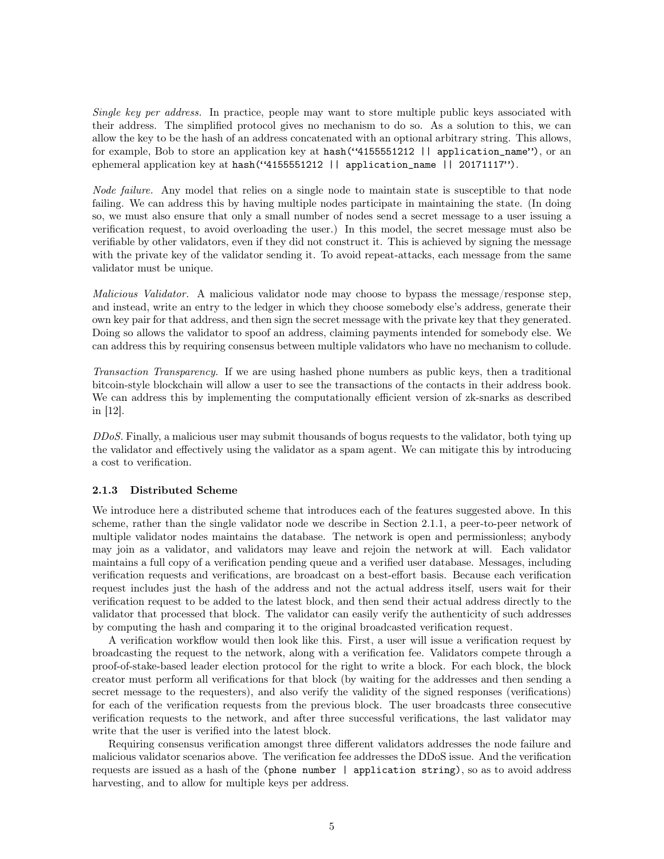Single key per address. In practice, people may want to store multiple public keys associated with their address. The simplified protocol gives no mechanism to do so. As a solution to this, we can allow the key to be the hash of an address concatenated with an optional arbitrary string. This allows, for example, Bob to store an application key at hash("4155551212 || application\_name"), or an ephemeral application key at hash("4155551212 || application\_name || 20171117").

Node failure. Any model that relies on a single node to maintain state is susceptible to that node failing. We can address this by having multiple nodes participate in maintaining the state. (In doing so, we must also ensure that only a small number of nodes send a secret message to a user issuing a verification request, to avoid overloading the user.) In this model, the secret message must also be verifiable by other validators, even if they did not construct it. This is achieved by signing the message with the private key of the validator sending it. To avoid repeat-attacks, each message from the same validator must be unique.

Malicious Validator. A malicious validator node may choose to bypass the message/response step, and instead, write an entry to the ledger in which they choose somebody else's address, generate their own key pair for that address, and then sign the secret message with the private key that they generated. Doing so allows the validator to spoof an address, claiming payments intended for somebody else. We can address this by requiring consensus between multiple validators who have no mechanism to collude.

Transaction Transparency. If we are using hashed phone numbers as public keys, then a traditional bitcoin-style blockchain will allow a user to see the transactions of the contacts in their address book. We can address this by implementing the computationally efficient version of  $z$ k-snarks as described in [\[12\]](#page-14-4).

DDoS. Finally, a malicious user may submit thousands of bogus requests to the validator, both tying up the validator and effectively using the validator as a spam agent. We can mitigate this by introducing a cost to verification.

#### <span id="page-4-0"></span>2.1.3 Distributed Scheme

We introduce here a distributed scheme that introduces each of the features suggested above. In this scheme, rather than the single validator node we describe in Section [2.1.1,](#page-3-1) a peer-to-peer network of multiple validator nodes maintains the database. The network is open and permissionless; anybody may join as a validator, and validators may leave and rejoin the network at will. Each validator maintains a full copy of a verification pending queue and a verified user database. Messages, including verification requests and verifications, are broadcast on a best-effort basis. Because each verification request includes just the hash of the address and not the actual address itself, users wait for their verification request to be added to the latest block, and then send their actual address directly to the validator that processed that block. The validator can easily verify the authenticity of such addresses by computing the hash and comparing it to the original broadcasted verification request.

A verification workflow would then look like this. First, a user will issue a verification request by broadcasting the request to the network, along with a verification fee. Validators compete through a proof-of-stake-based leader election protocol for the right to write a block. For each block, the block creator must perform all verifications for that block (by waiting for the addresses and then sending a secret message to the requesters), and also verify the validity of the signed responses (verifications) for each of the verification requests from the previous block. The user broadcasts three consecutive verification requests to the network, and after three successful verifications, the last validator may write that the user is verified into the latest block.

Requiring consensus verification amongst three different validators addresses the node failure and malicious validator scenarios above. The verification fee addresses the DDoS issue. And the verification requests are issued as a hash of the (phone number | application string), so as to avoid address harvesting, and to allow for multiple keys per address.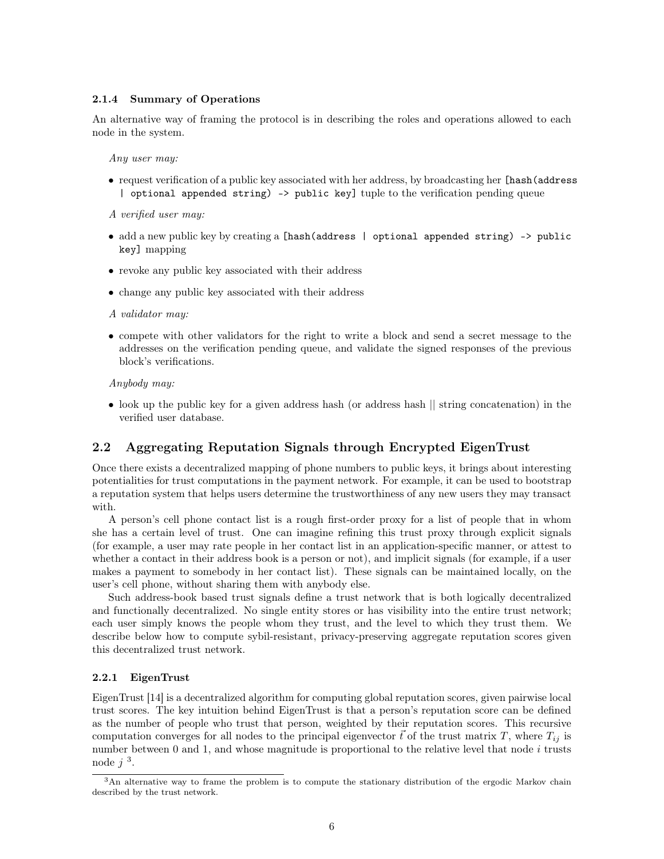#### <span id="page-5-0"></span>2.1.4 Summary of Operations

An alternative way of framing the protocol is in describing the roles and operations allowed to each node in the system.

Any user may:

• request verification of a public key associated with her address, by broadcasting her [hash(address | optional appended string) -> public key] tuple to the verification pending queue

A verified user may:

- add a new public key by creating a [hash(address | optional appended string) -> public key] mapping
- revoke any public key associated with their address
- change any public key associated with their address

#### A validator may:

• compete with other validators for the right to write a block and send a secret message to the addresses on the verification pending queue, and validate the signed responses of the previous block's verifications.

Anybody may:

• look up the public key for a given address hash (or address hash || string concatenation) in the verified user database.

#### <span id="page-5-1"></span>2.2 Aggregating Reputation Signals through Encrypted EigenTrust

Once there exists a decentralized mapping of phone numbers to public keys, it brings about interesting potentialities for trust computations in the payment network. For example, it can be used to bootstrap a reputation system that helps users determine the trustworthiness of any new users they may transact with.

A person's cell phone contact list is a rough first-order proxy for a list of people that in whom she has a certain level of trust. One can imagine refining this trust proxy through explicit signals (for example, a user may rate people in her contact list in an application-specific manner, or attest to whether a contact in their address book is a person or not), and implicit signals (for example, if a user makes a payment to somebody in her contact list). These signals can be maintained locally, on the user's cell phone, without sharing them with anybody else.

Such address-book based trust signals define a trust network that is both logically decentralized and functionally decentralized. No single entity stores or has visibility into the entire trust network; each user simply knows the people whom they trust, and the level to which they trust them. We describe below how to compute sybil-resistant, privacy-preserving aggregate reputation scores given this decentralized trust network.

#### <span id="page-5-2"></span>2.2.1 EigenTrust

EigenTrust [\[14\]](#page-14-5) is a decentralized algorithm for computing global reputation scores, given pairwise local trust scores. The key intuition behind EigenTrust is that a person's reputation score can be defined as the number of people who trust that person, weighted by their reputation scores. This recursive computation converges for all nodes to the principal eigenvector  $\vec{t}$  of the trust matrix T, where  $T_{ij}$  is number between 0 and 1, and whose magnitude is proportional to the relative level that node i trusts node  $j<sup>3</sup>$  $j<sup>3</sup>$  $j<sup>3</sup>$ .

<span id="page-5-3"></span><sup>3</sup>An alternative way to frame the problem is to compute the stationary distribution of the ergodic Markov chain described by the trust network.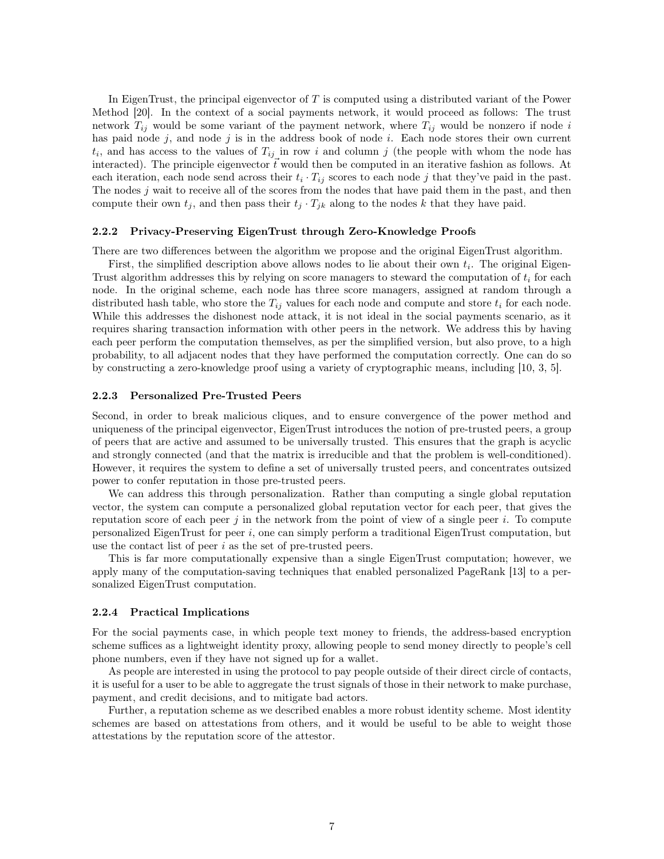In EigenTrust, the principal eigenvector of T is computed using a distributed variant of the Power Method [\[20\]](#page-15-0). In the context of a social payments network, it would proceed as follows: The trust network  $T_{ij}$  would be some variant of the payment network, where  $T_{ij}$  would be nonzero if node i has paid node  $j$ , and node  $j$  is in the address book of node  $i$ . Each node stores their own current  $t_i$ , and has access to the values of  $T_{ij}$  in row i and column j (the people with whom the node has interacted). The principle eigenvector  $\vec{t}$  would then be computed in an iterative fashion as follows. At each iteration, each node send across their  $t_i \cdot T_{ij}$  scores to each node j that they've paid in the past. The nodes  $j$  wait to receive all of the scores from the nodes that have paid them in the past, and then compute their own  $t_j$ , and then pass their  $t_j \cdot T_{jk}$  along to the nodes k that they have paid.

#### <span id="page-6-0"></span>2.2.2 Privacy-Preserving EigenTrust through Zero-Knowledge Proofs

There are two differences between the algorithm we propose and the original EigenTrust algorithm.

First, the simplified description above allows nodes to lie about their own  $t_i$ . The original Eigen-Trust algorithm addresses this by relying on score managers to steward the computation of  $t_i$  for each node. In the original scheme, each node has three score managers, assigned at random through a distributed hash table, who store the  $T_{ij}$  values for each node and compute and store  $t_i$  for each node. While this addresses the dishonest node attack, it is not ideal in the social payments scenario, as it requires sharing transaction information with other peers in the network. We address this by having each peer perform the computation themselves, as per the simplified version, but also prove, to a high probability, to all adjacent nodes that they have performed the computation correctly. One can do so by constructing a zero-knowledge proof using a variety of cryptographic means, including [\[10,](#page-14-6) [3,](#page-14-7) [5\]](#page-14-8).

#### <span id="page-6-1"></span>2.2.3 Personalized Pre-Trusted Peers

Second, in order to break malicious cliques, and to ensure convergence of the power method and uniqueness of the principal eigenvector, EigenTrust introduces the notion of pre-trusted peers, a group of peers that are active and assumed to be universally trusted. This ensures that the graph is acyclic and strongly connected (and that the matrix is irreducible and that the problem is well-conditioned). However, it requires the system to define a set of universally trusted peers, and concentrates outsized power to confer reputation in those pre-trusted peers.

We can address this through personalization. Rather than computing a single global reputation vector, the system can compute a personalized global reputation vector for each peer, that gives the reputation score of each peer j in the network from the point of view of a single peer i. To compute personalized EigenTrust for peer  $i$ , one can simply perform a traditional EigenTrust computation, but use the contact list of peer i as the set of pre-trusted peers.

This is far more computationally expensive than a single EigenTrust computation; however, we apply many of the computation-saving techniques that enabled personalized PageRank [\[13\]](#page-14-9) to a personalized EigenTrust computation.

#### <span id="page-6-2"></span>2.2.4 Practical Implications

For the social payments case, in which people text money to friends, the address-based encryption scheme suffices as a lightweight identity proxy, allowing people to send money directly to people's cell phone numbers, even if they have not signed up for a wallet.

As people are interested in using the protocol to pay people outside of their direct circle of contacts, it is useful for a user to be able to aggregate the trust signals of those in their network to make purchase, payment, and credit decisions, and to mitigate bad actors.

Further, a reputation scheme as we described enables a more robust identity scheme. Most identity schemes are based on attestations from others, and it would be useful to be able to weight those attestations by the reputation score of the attestor.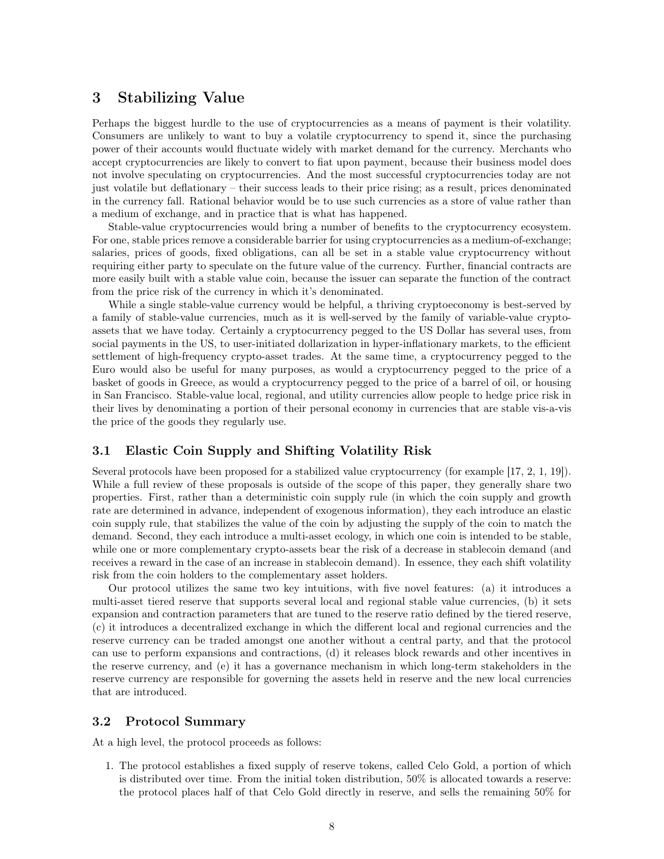## <span id="page-7-0"></span>3 Stabilizing Value

Perhaps the biggest hurdle to the use of cryptocurrencies as a means of payment is their volatility. Consumers are unlikely to want to buy a volatile cryptocurrency to spend it, since the purchasing power of their accounts would fluctuate widely with market demand for the currency. Merchants who accept cryptocurrencies are likely to convert to fiat upon payment, because their business model does not involve speculating on cryptocurrencies. And the most successful cryptocurrencies today are not just volatile but deflationary – their success leads to their price rising; as a result, prices denominated in the currency fall. Rational behavior would be to use such currencies as a store of value rather than a medium of exchange, and in practice that is what has happened.

Stable-value cryptocurrencies would bring a number of benefits to the cryptocurrency ecosystem. For one, stable prices remove a considerable barrier for using cryptocurrencies as a medium-of-exchange; salaries, prices of goods, fixed obligations, can all be set in a stable value cryptocurrency without requiring either party to speculate on the future value of the currency. Further, financial contracts are more easily built with a stable value coin, because the issuer can separate the function of the contract from the price risk of the currency in which it's denominated.

While a single stable-value currency would be helpful, a thriving cryptoeconomy is best-served by a family of stable-value currencies, much as it is well-served by the family of variable-value cryptoassets that we have today. Certainly a cryptocurrency pegged to the US Dollar has several uses, from social payments in the US, to user-initiated dollarization in hyper-inflationary markets, to the efficient settlement of high-frequency crypto-asset trades. At the same time, a cryptocurrency pegged to the Euro would also be useful for many purposes, as would a cryptocurrency pegged to the price of a basket of goods in Greece, as would a cryptocurrency pegged to the price of a barrel of oil, or housing in San Francisco. Stable-value local, regional, and utility currencies allow people to hedge price risk in their lives by denominating a portion of their personal economy in currencies that are stable vis-a-vis the price of the goods they regularly use.

#### <span id="page-7-1"></span>3.1 Elastic Coin Supply and Shifting Volatility Risk

Several protocols have been proposed for a stabilized value cryptocurrency (for example [\[17,](#page-14-10) [2,](#page-14-11) [1,](#page-14-12) [19\]](#page-15-1)). While a full review of these proposals is outside of the scope of this paper, they generally share two properties. First, rather than a deterministic coin supply rule (in which the coin supply and growth rate are determined in advance, independent of exogenous information), they each introduce an elastic coin supply rule, that stabilizes the value of the coin by adjusting the supply of the coin to match the demand. Second, they each introduce a multi-asset ecology, in which one coin is intended to be stable, while one or more complementary crypto-assets bear the risk of a decrease in stablecoin demand (and receives a reward in the case of an increase in stablecoin demand). In essence, they each shift volatility risk from the coin holders to the complementary asset holders.

Our protocol utilizes the same two key intuitions, with five novel features: (a) it introduces a multi-asset tiered reserve that supports several local and regional stable value currencies, (b) it sets expansion and contraction parameters that are tuned to the reserve ratio defined by the tiered reserve, (c) it introduces a decentralized exchange in which the different local and regional currencies and the reserve currency can be traded amongst one another without a central party, and that the protocol can use to perform expansions and contractions, (d) it releases block rewards and other incentives in the reserve currency, and (e) it has a governance mechanism in which long-term stakeholders in the reserve currency are responsible for governing the assets held in reserve and the new local currencies that are introduced.

#### <span id="page-7-2"></span>3.2 Protocol Summary

At a high level, the protocol proceeds as follows:

1. The protocol establishes a fixed supply of reserve tokens, called Celo Gold, a portion of which is distributed over time. From the initial token distribution, 50% is allocated towards a reserve: the protocol places half of that Celo Gold directly in reserve, and sells the remaining 50% for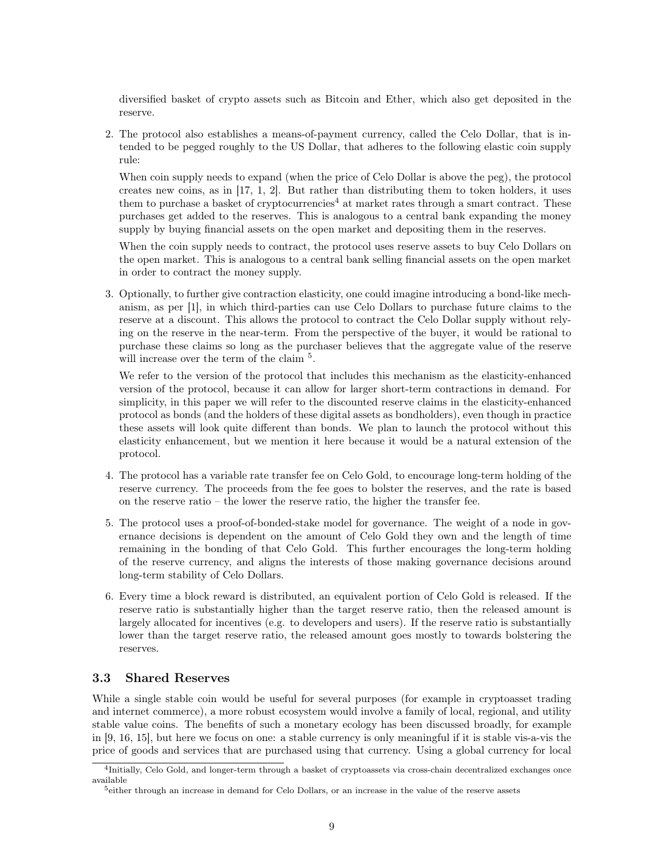diversified basket of crypto assets such as Bitcoin and Ether, which also get deposited in the reserve.

2. The protocol also establishes a means-of-payment currency, called the Celo Dollar, that is intended to be pegged roughly to the US Dollar, that adheres to the following elastic coin supply rule:

When coin supply needs to expand (when the price of Celo Dollar is above the peg), the protocol creates new coins, as in [\[17,](#page-14-10) [1,](#page-14-12) [2\]](#page-14-11). But rather than distributing them to token holders, it uses them to purchase a basket of cryptocurrencies<sup>[4](#page-8-1)</sup> at market rates through a smart contract. These purchases get added to the reserves. This is analogous to a central bank expanding the money supply by buying financial assets on the open market and depositing them in the reserves.

When the coin supply needs to contract, the protocol uses reserve assets to buy Celo Dollars on the open market. This is analogous to a central bank selling financial assets on the open market in order to contract the money supply.

3. Optionally, to further give contraction elasticity, one could imagine introducing a bond-like mechanism, as per [\[1\]](#page-14-12), in which third-parties can use Celo Dollars to purchase future claims to the reserve at a discount. This allows the protocol to contract the Celo Dollar supply without relying on the reserve in the near-term. From the perspective of the buyer, it would be rational to purchase these claims so long as the purchaser believes that the aggregate value of the reserve will increase over the term of the claim<sup>[5](#page-8-2)</sup>.

We refer to the version of the protocol that includes this mechanism as the elasticity-enhanced version of the protocol, because it can allow for larger short-term contractions in demand. For simplicity, in this paper we will refer to the discounted reserve claims in the elasticity-enhanced protocol as bonds (and the holders of these digital assets as bondholders), even though in practice these assets will look quite different than bonds. We plan to launch the protocol without this elasticity enhancement, but we mention it here because it would be a natural extension of the protocol.

- 4. The protocol has a variable rate transfer fee on Celo Gold, to encourage long-term holding of the reserve currency. The proceeds from the fee goes to bolster the reserves, and the rate is based on the reserve ratio – the lower the reserve ratio, the higher the transfer fee.
- 5. The protocol uses a proof-of-bonded-stake model for governance. The weight of a node in governance decisions is dependent on the amount of Celo Gold they own and the length of time remaining in the bonding of that Celo Gold. This further encourages the long-term holding of the reserve currency, and aligns the interests of those making governance decisions around long-term stability of Celo Dollars.
- 6. Every time a block reward is distributed, an equivalent portion of Celo Gold is released. If the reserve ratio is substantially higher than the target reserve ratio, then the released amount is largely allocated for incentives (e.g. to developers and users). If the reserve ratio is substantially lower than the target reserve ratio, the released amount goes mostly to towards bolstering the reserves.

#### <span id="page-8-0"></span>3.3 Shared Reserves

While a single stable coin would be useful for several purposes (for example in cryptoasset trading and internet commerce), a more robust ecosystem would involve a family of local, regional, and utility stable value coins. The benefits of such a monetary ecology has been discussed broadly, for example in [\[9,](#page-14-13) [16,](#page-14-14) [15\]](#page-14-15), but here we focus on one: a stable currency is only meaningful if it is stable vis-a-vis the price of goods and services that are purchased using that currency. Using a global currency for local

<span id="page-8-1"></span><sup>&</sup>lt;sup>4</sup>Initially, Celo Gold, and longer-term through a basket of cryptoassets via cross-chain decentralized exchanges once available

<span id="page-8-2"></span><sup>5</sup>either through an increase in demand for Celo Dollars, or an increase in the value of the reserve assets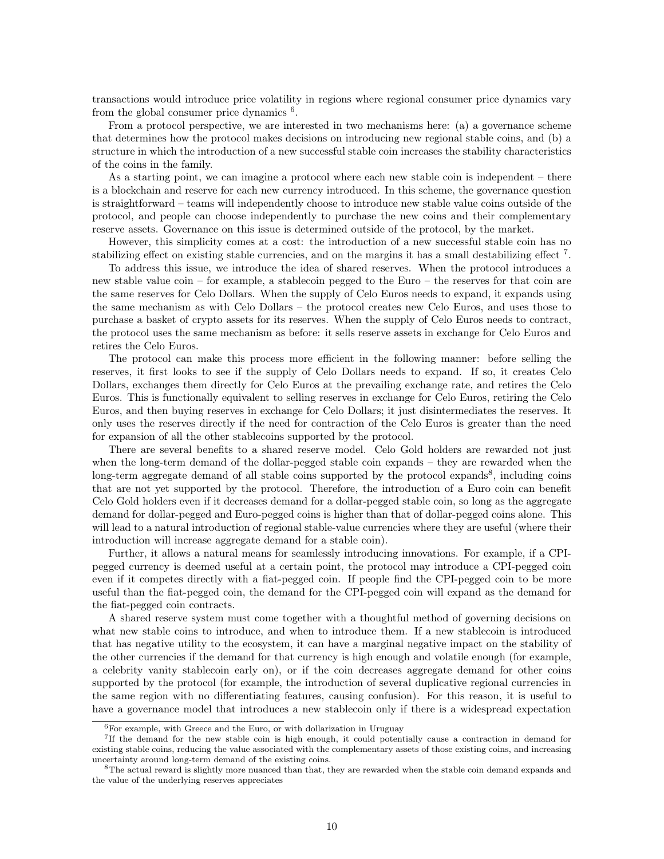transactions would introduce price volatility in regions where regional consumer price dynamics vary from the global consumer price dynamics  $6$ .

From a protocol perspective, we are interested in two mechanisms here: (a) a governance scheme that determines how the protocol makes decisions on introducing new regional stable coins, and (b) a structure in which the introduction of a new successful stable coin increases the stability characteristics of the coins in the family.

As a starting point, we can imagine a protocol where each new stable coin is independent – there is a blockchain and reserve for each new currency introduced. In this scheme, the governance question is straightforward – teams will independently choose to introduce new stable value coins outside of the protocol, and people can choose independently to purchase the new coins and their complementary reserve assets. Governance on this issue is determined outside of the protocol, by the market.

However, this simplicity comes at a cost: the introduction of a new successful stable coin has no stabilizing effect on existing stable currencies, and on the margins it has a small destabilizing effect<sup>[7](#page-9-1)</sup>.

To address this issue, we introduce the idea of shared reserves. When the protocol introduces a new stable value coin – for example, a stablecoin pegged to the Euro – the reserves for that coin are the same reserves for Celo Dollars. When the supply of Celo Euros needs to expand, it expands using the same mechanism as with Celo Dollars – the protocol creates new Celo Euros, and uses those to purchase a basket of crypto assets for its reserves. When the supply of Celo Euros needs to contract, the protocol uses the same mechanism as before: it sells reserve assets in exchange for Celo Euros and retires the Celo Euros.

The protocol can make this process more efficient in the following manner: before selling the reserves, it first looks to see if the supply of Celo Dollars needs to expand. If so, it creates Celo Dollars, exchanges them directly for Celo Euros at the prevailing exchange rate, and retires the Celo Euros. This is functionally equivalent to selling reserves in exchange for Celo Euros, retiring the Celo Euros, and then buying reserves in exchange for Celo Dollars; it just disintermediates the reserves. It only uses the reserves directly if the need for contraction of the Celo Euros is greater than the need for expansion of all the other stablecoins supported by the protocol.

There are several benefits to a shared reserve model. Celo Gold holders are rewarded not just when the long-term demand of the dollar-pegged stable coin expands – they are rewarded when the long-term aggregate demand of all stable coins supported by the protocol expands<sup>[8](#page-9-2)</sup>, including coins that are not yet supported by the protocol. Therefore, the introduction of a Euro coin can benefit Celo Gold holders even if it decreases demand for a dollar-pegged stable coin, so long as the aggregate demand for dollar-pegged and Euro-pegged coins is higher than that of dollar-pegged coins alone. This will lead to a natural introduction of regional stable-value currencies where they are useful (where their introduction will increase aggregate demand for a stable coin).

Further, it allows a natural means for seamlessly introducing innovations. For example, if a CPIpegged currency is deemed useful at a certain point, the protocol may introduce a CPI-pegged coin even if it competes directly with a fiat-pegged coin. If people find the CPI-pegged coin to be more useful than the fiat-pegged coin, the demand for the CPI-pegged coin will expand as the demand for the fiat-pegged coin contracts.

A shared reserve system must come together with a thoughtful method of governing decisions on what new stable coins to introduce, and when to introduce them. If a new stablecoin is introduced that has negative utility to the ecosystem, it can have a marginal negative impact on the stability of the other currencies if the demand for that currency is high enough and volatile enough (for example, a celebrity vanity stablecoin early on), or if the coin decreases aggregate demand for other coins supported by the protocol (for example, the introduction of several duplicative regional currencies in the same region with no differentiating features, causing confusion). For this reason, it is useful to have a governance model that introduces a new stablecoin only if there is a widespread expectation

<span id="page-9-1"></span><span id="page-9-0"></span> ${}^{6}$ For example, with Greece and the Euro, or with dollarization in Uruguay

<sup>7</sup> If the demand for the new stable coin is high enough, it could potentially cause a contraction in demand for existing stable coins, reducing the value associated with the complementary assets of those existing coins, and increasing uncertainty around long-term demand of the existing coins.

<span id="page-9-2"></span><sup>8</sup>The actual reward is slightly more nuanced than that, they are rewarded when the stable coin demand expands and the value of the underlying reserves appreciates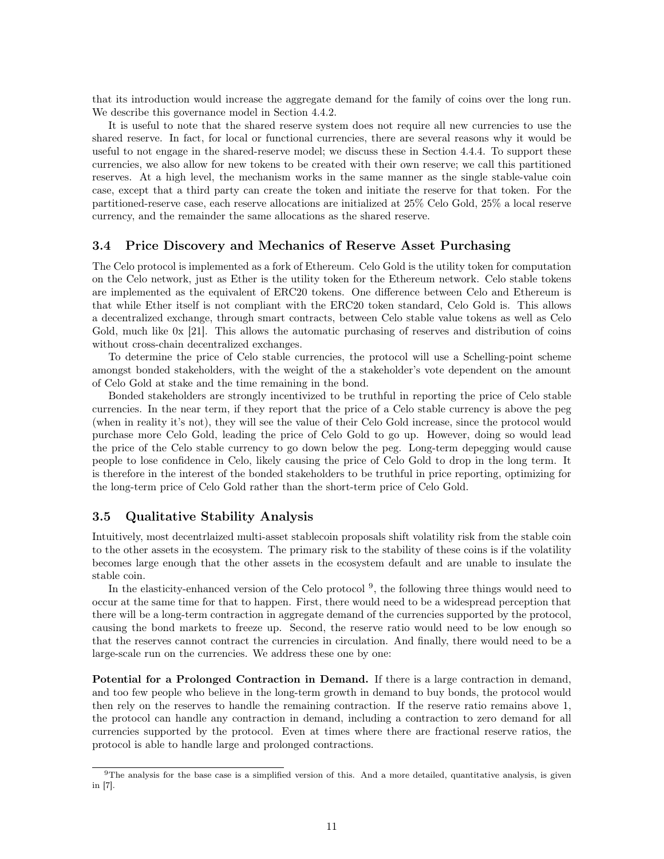that its introduction would increase the aggregate demand for the family of coins over the long run. We describe this governance model in Section [4.4.2.](#page-12-4)

It is useful to note that the shared reserve system does not require all new currencies to use the shared reserve. In fact, for local or functional currencies, there are several reasons why it would be useful to not engage in the shared-reserve model; we discuss these in Section [4.4.4.](#page-13-1) To support these currencies, we also allow for new tokens to be created with their own reserve; we call this partitioned reserves. At a high level, the mechanism works in the same manner as the single stable-value coin case, except that a third party can create the token and initiate the reserve for that token. For the partitioned-reserve case, each reserve allocations are initialized at 25% Celo Gold, 25% a local reserve currency, and the remainder the same allocations as the shared reserve.

#### <span id="page-10-0"></span>3.4 Price Discovery and Mechanics of Reserve Asset Purchasing

The Celo protocol is implemented as a fork of Ethereum. Celo Gold is the utility token for computation on the Celo network, just as Ether is the utility token for the Ethereum network. Celo stable tokens are implemented as the equivalent of ERC20 tokens. One difference between Celo and Ethereum is that while Ether itself is not compliant with the ERC20 token standard, Celo Gold is. This allows a decentralized exchange, through smart contracts, between Celo stable value tokens as well as Celo Gold, much like 0x [\[21\]](#page-15-2). This allows the automatic purchasing of reserves and distribution of coins without cross-chain decentralized exchanges.

To determine the price of Celo stable currencies, the protocol will use a Schelling-point scheme amongst bonded stakeholders, with the weight of the a stakeholder's vote dependent on the amount of Celo Gold at stake and the time remaining in the bond.

Bonded stakeholders are strongly incentivized to be truthful in reporting the price of Celo stable currencies. In the near term, if they report that the price of a Celo stable currency is above the peg (when in reality it's not), they will see the value of their Celo Gold increase, since the protocol would purchase more Celo Gold, leading the price of Celo Gold to go up. However, doing so would lead the price of the Celo stable currency to go down below the peg. Long-term depegging would cause people to lose confidence in Celo, likely causing the price of Celo Gold to drop in the long term. It is therefore in the interest of the bonded stakeholders to be truthful in price reporting, optimizing for the long-term price of Celo Gold rather than the short-term price of Celo Gold.

#### <span id="page-10-1"></span>3.5 Qualitative Stability Analysis

Intuitively, most decentrlaized multi-asset stablecoin proposals shift volatility risk from the stable coin to the other assets in the ecosystem. The primary risk to the stability of these coins is if the volatility becomes large enough that the other assets in the ecosystem default and are unable to insulate the stable coin.

In the elasticity-enhanced version of the Celo protocol<sup>[9](#page-10-2)</sup>, the following three things would need to occur at the same time for that to happen. First, there would need to be a widespread perception that there will be a long-term contraction in aggregate demand of the currencies supported by the protocol, causing the bond markets to freeze up. Second, the reserve ratio would need to be low enough so that the reserves cannot contract the currencies in circulation. And finally, there would need to be a large-scale run on the currencies. We address these one by one:

Potential for a Prolonged Contraction in Demand. If there is a large contraction in demand, and too few people who believe in the long-term growth in demand to buy bonds, the protocol would then rely on the reserves to handle the remaining contraction. If the reserve ratio remains above 1, the protocol can handle any contraction in demand, including a contraction to zero demand for all currencies supported by the protocol. Even at times where there are fractional reserve ratios, the protocol is able to handle large and prolonged contractions.

<span id="page-10-2"></span> $9$ The analysis for the base case is a simplified version of this. And a more detailed, quantitative analysis, is given in [\[7\]](#page-14-16).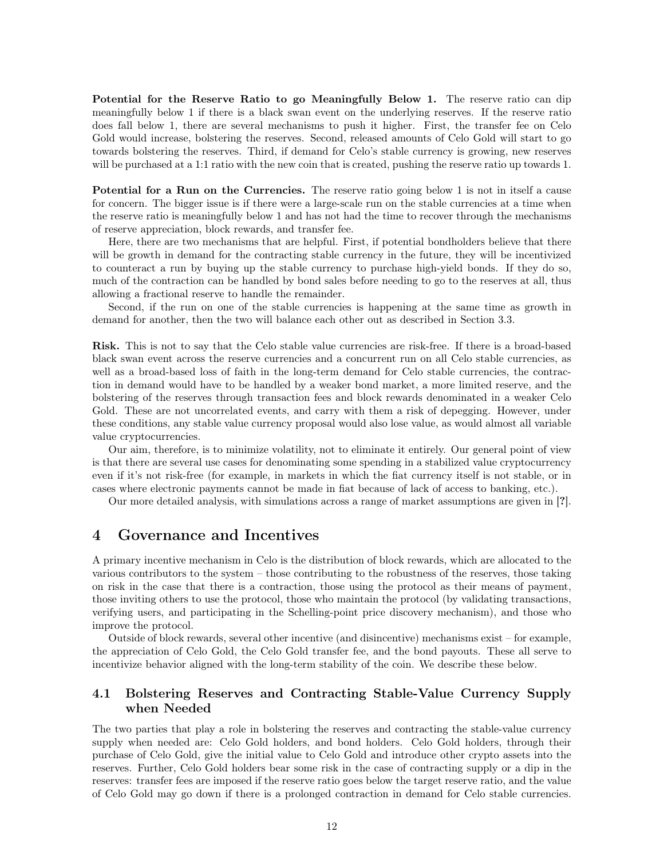Potential for the Reserve Ratio to go Meaningfully Below 1. The reserve ratio can dip meaningfully below 1 if there is a black swan event on the underlying reserves. If the reserve ratio does fall below 1, there are several mechanisms to push it higher. First, the transfer fee on Celo Gold would increase, bolstering the reserves. Second, released amounts of Celo Gold will start to go towards bolstering the reserves. Third, if demand for Celo's stable currency is growing, new reserves will be purchased at a 1:1 ratio with the new coin that is created, pushing the reserve ratio up towards 1.

Potential for a Run on the Currencies. The reserve ratio going below 1 is not in itself a cause for concern. The bigger issue is if there were a large-scale run on the stable currencies at a time when the reserve ratio is meaningfully below 1 and has not had the time to recover through the mechanisms of reserve appreciation, block rewards, and transfer fee.

Here, there are two mechanisms that are helpful. First, if potential bondholders believe that there will be growth in demand for the contracting stable currency in the future, they will be incentivized to counteract a run by buying up the stable currency to purchase high-yield bonds. If they do so, much of the contraction can be handled by bond sales before needing to go to the reserves at all, thus allowing a fractional reserve to handle the remainder.

Second, if the run on one of the stable currencies is happening at the same time as growth in demand for another, then the two will balance each other out as described in Section [3.3.](#page-8-0)

Risk. This is not to say that the Celo stable value currencies are risk-free. If there is a broad-based black swan event across the reserve currencies and a concurrent run on all Celo stable currencies, as well as a broad-based loss of faith in the long-term demand for Celo stable currencies, the contraction in demand would have to be handled by a weaker bond market, a more limited reserve, and the bolstering of the reserves through transaction fees and block rewards denominated in a weaker Celo Gold. These are not uncorrelated events, and carry with them a risk of depegging. However, under these conditions, any stable value currency proposal would also lose value, as would almost all variable value cryptocurrencies.

Our aim, therefore, is to minimize volatility, not to eliminate it entirely. Our general point of view is that there are several use cases for denominating some spending in a stabilized value cryptocurrency even if it's not risk-free (for example, in markets in which the fiat currency itself is not stable, or in cases where electronic payments cannot be made in fiat because of lack of access to banking, etc.).

Our more detailed analysis, with simulations across a range of market assumptions are given in [?].

## <span id="page-11-0"></span>4 Governance and Incentives

A primary incentive mechanism in Celo is the distribution of block rewards, which are allocated to the various contributors to the system – those contributing to the robustness of the reserves, those taking on risk in the case that there is a contraction, those using the protocol as their means of payment, those inviting others to use the protocol, those who maintain the protocol (by validating transactions, verifying users, and participating in the Schelling-point price discovery mechanism), and those who improve the protocol.

Outside of block rewards, several other incentive (and disincentive) mechanisms exist – for example, the appreciation of Celo Gold, the Celo Gold transfer fee, and the bond payouts. These all serve to incentivize behavior aligned with the long-term stability of the coin. We describe these below.

#### <span id="page-11-1"></span>4.1 Bolstering Reserves and Contracting Stable-Value Currency Supply when Needed

The two parties that play a role in bolstering the reserves and contracting the stable-value currency supply when needed are: Celo Gold holders, and bond holders. Celo Gold holders, through their purchase of Celo Gold, give the initial value to Celo Gold and introduce other crypto assets into the reserves. Further, Celo Gold holders bear some risk in the case of contracting supply or a dip in the reserves: transfer fees are imposed if the reserve ratio goes below the target reserve ratio, and the value of Celo Gold may go down if there is a prolonged contraction in demand for Celo stable currencies.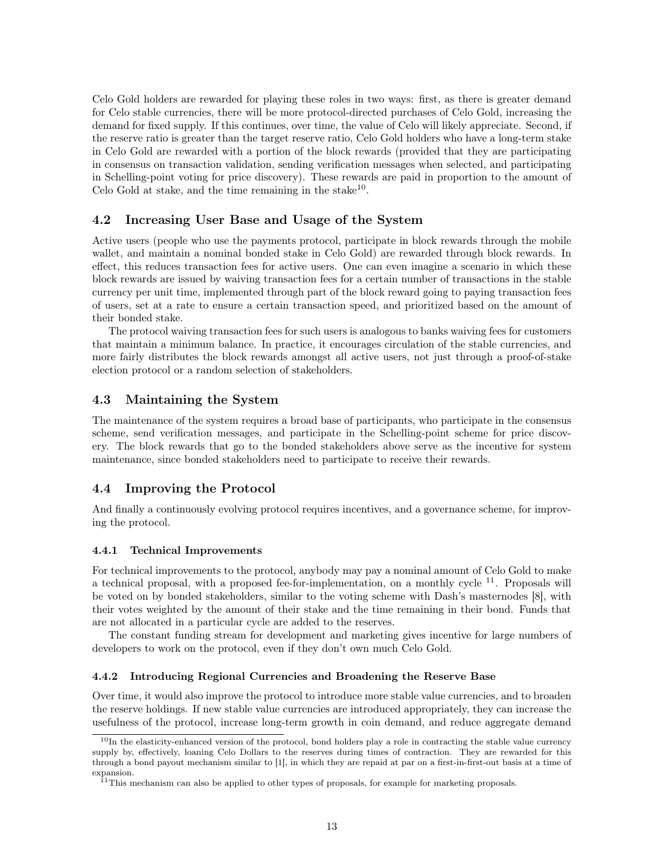Celo Gold holders are rewarded for playing these roles in two ways: first, as there is greater demand for Celo stable currencies, there will be more protocol-directed purchases of Celo Gold, increasing the demand for fixed supply. If this continues, over time, the value of Celo will likely appreciate. Second, if the reserve ratio is greater than the target reserve ratio, Celo Gold holders who have a long-term stake in Celo Gold are rewarded with a portion of the block rewards (provided that they are participating in consensus on transaction validation, sending verification messages when selected, and participating in Schelling-point voting for price discovery). These rewards are paid in proportion to the amount of Celo Gold at stake, and the time remaining in the stake $^{10}$  $^{10}$  $^{10}$ .

#### <span id="page-12-0"></span>4.2 Increasing User Base and Usage of the System

Active users (people who use the payments protocol, participate in block rewards through the mobile wallet, and maintain a nominal bonded stake in Celo Gold) are rewarded through block rewards. In effect, this reduces transaction fees for active users. One can even imagine a scenario in which these block rewards are issued by waiving transaction fees for a certain number of transactions in the stable currency per unit time, implemented through part of the block reward going to paying transaction fees of users, set at a rate to ensure a certain transaction speed, and prioritized based on the amount of their bonded stake.

The protocol waiving transaction fees for such users is analogous to banks waiving fees for customers that maintain a minimum balance. In practice, it encourages circulation of the stable currencies, and more fairly distributes the block rewards amongst all active users, not just through a proof-of-stake election protocol or a random selection of stakeholders.

#### <span id="page-12-1"></span>4.3 Maintaining the System

The maintenance of the system requires a broad base of participants, who participate in the consensus scheme, send verification messages, and participate in the Schelling-point scheme for price discovery. The block rewards that go to the bonded stakeholders above serve as the incentive for system maintenance, since bonded stakeholders need to participate to receive their rewards.

#### <span id="page-12-2"></span>4.4 Improving the Protocol

And finally a continuously evolving protocol requires incentives, and a governance scheme, for improving the protocol.

#### <span id="page-12-3"></span>4.4.1 Technical Improvements

For technical improvements to the protocol, anybody may pay a nominal amount of Celo Gold to make a technical proposal, with a proposed fee-for-implementation, on a monthly cycle  $^{11}$  $^{11}$  $^{11}$ . Proposals will be voted on by bonded stakeholders, similar to the voting scheme with Dash's masternodes [\[8\]](#page-14-17), with their votes weighted by the amount of their stake and the time remaining in their bond. Funds that are not allocated in a particular cycle are added to the reserves.

The constant funding stream for development and marketing gives incentive for large numbers of developers to work on the protocol, even if they don't own much Celo Gold.

#### <span id="page-12-4"></span>4.4.2 Introducing Regional Currencies and Broadening the Reserve Base

Over time, it would also improve the protocol to introduce more stable value currencies, and to broaden the reserve holdings. If new stable value currencies are introduced appropriately, they can increase the usefulness of the protocol, increase long-term growth in coin demand, and reduce aggregate demand

<span id="page-12-5"></span> $10$ In the elasticity-enhanced version of the protocol, bond holders play a role in contracting the stable value currency supply by, effectively, loaning Celo Dollars to the reserves during times of contraction. They are rewarded for this through a bond payout mechanism similar to [\[1\]](#page-14-12), in which they are repaid at par on a first-in-first-out basis at a time of expansion.

<span id="page-12-6"></span><sup>&</sup>lt;sup>11</sup>This mechanism can also be applied to other types of proposals, for example for marketing proposals.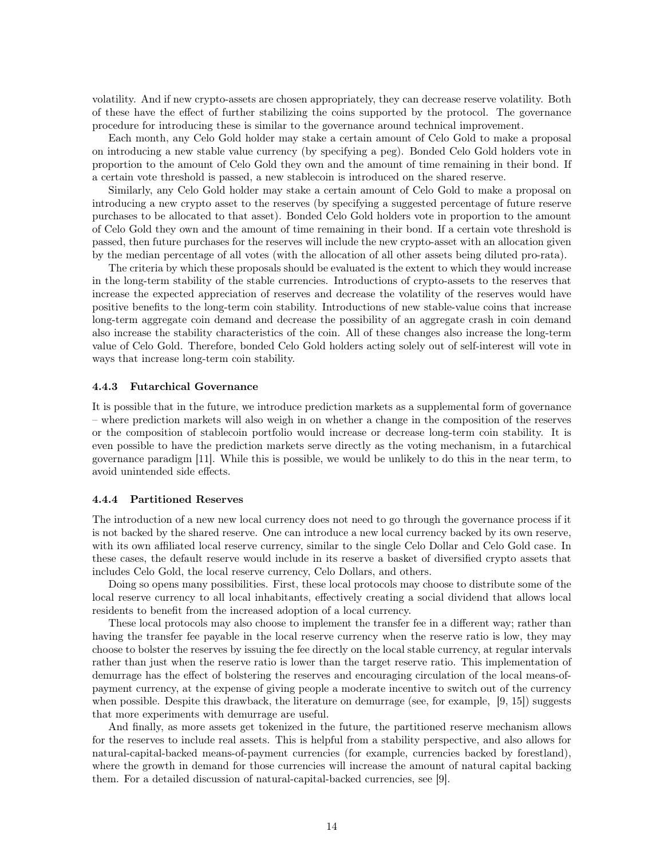volatility. And if new crypto-assets are chosen appropriately, they can decrease reserve volatility. Both of these have the effect of further stabilizing the coins supported by the protocol. The governance procedure for introducing these is similar to the governance around technical improvement.

Each month, any Celo Gold holder may stake a certain amount of Celo Gold to make a proposal on introducing a new stable value currency (by specifying a peg). Bonded Celo Gold holders vote in proportion to the amount of Celo Gold they own and the amount of time remaining in their bond. If a certain vote threshold is passed, a new stablecoin is introduced on the shared reserve.

Similarly, any Celo Gold holder may stake a certain amount of Celo Gold to make a proposal on introducing a new crypto asset to the reserves (by specifying a suggested percentage of future reserve purchases to be allocated to that asset). Bonded Celo Gold holders vote in proportion to the amount of Celo Gold they own and the amount of time remaining in their bond. If a certain vote threshold is passed, then future purchases for the reserves will include the new crypto-asset with an allocation given by the median percentage of all votes (with the allocation of all other assets being diluted pro-rata).

The criteria by which these proposals should be evaluated is the extent to which they would increase in the long-term stability of the stable currencies. Introductions of crypto-assets to the reserves that increase the expected appreciation of reserves and decrease the volatility of the reserves would have positive benefits to the long-term coin stability. Introductions of new stable-value coins that increase long-term aggregate coin demand and decrease the possibility of an aggregate crash in coin demand also increase the stability characteristics of the coin. All of these changes also increase the long-term value of Celo Gold. Therefore, bonded Celo Gold holders acting solely out of self-interest will vote in ways that increase long-term coin stability.

#### <span id="page-13-0"></span>4.4.3 Futarchical Governance

It is possible that in the future, we introduce prediction markets as a supplemental form of governance – where prediction markets will also weigh in on whether a change in the composition of the reserves or the composition of stablecoin portfolio would increase or decrease long-term coin stability. It is even possible to have the prediction markets serve directly as the voting mechanism, in a futarchical governance paradigm [\[11\]](#page-14-18). While this is possible, we would be unlikely to do this in the near term, to avoid unintended side effects.

#### <span id="page-13-1"></span>4.4.4 Partitioned Reserves

The introduction of a new new local currency does not need to go through the governance process if it is not backed by the shared reserve. One can introduce a new local currency backed by its own reserve, with its own affiliated local reserve currency, similar to the single Celo Dollar and Celo Gold case. In these cases, the default reserve would include in its reserve a basket of diversified crypto assets that includes Celo Gold, the local reserve currency, Celo Dollars, and others.

Doing so opens many possibilities. First, these local protocols may choose to distribute some of the local reserve currency to all local inhabitants, effectively creating a social dividend that allows local residents to benefit from the increased adoption of a local currency.

These local protocols may also choose to implement the transfer fee in a different way; rather than having the transfer fee payable in the local reserve currency when the reserve ratio is low, they may choose to bolster the reserves by issuing the fee directly on the local stable currency, at regular intervals rather than just when the reserve ratio is lower than the target reserve ratio. This implementation of demurrage has the effect of bolstering the reserves and encouraging circulation of the local means-ofpayment currency, at the expense of giving people a moderate incentive to switch out of the currency when possible. Despite this drawback, the literature on demurrage (see, for example, [\[9,](#page-14-13) [15\]](#page-14-15)) suggests that more experiments with demurrage are useful.

And finally, as more assets get tokenized in the future, the partitioned reserve mechanism allows for the reserves to include real assets. This is helpful from a stability perspective, and also allows for natural-capital-backed means-of-payment currencies (for example, currencies backed by forestland), where the growth in demand for those currencies will increase the amount of natural capital backing them. For a detailed discussion of natural-capital-backed currencies, see [\[9\]](#page-14-13).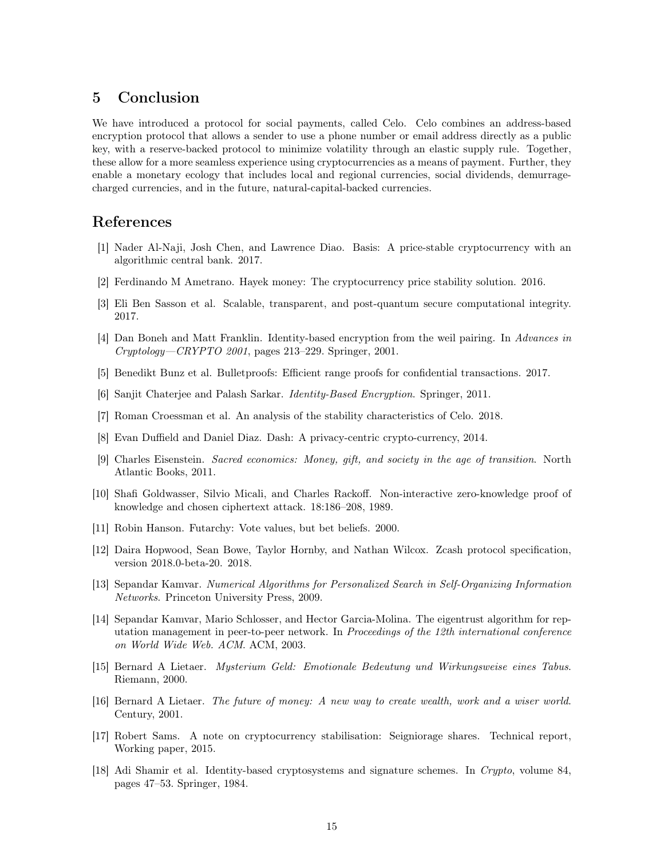## <span id="page-14-0"></span>5 Conclusion

We have introduced a protocol for social payments, called Celo. Celo combines an address-based encryption protocol that allows a sender to use a phone number or email address directly as a public key, with a reserve-backed protocol to minimize volatility through an elastic supply rule. Together, these allow for a more seamless experience using cryptocurrencies as a means of payment. Further, they enable a monetary ecology that includes local and regional currencies, social dividends, demurragecharged currencies, and in the future, natural-capital-backed currencies.

## References

- <span id="page-14-12"></span>[1] Nader Al-Naji, Josh Chen, and Lawrence Diao. Basis: A price-stable cryptocurrency with an algorithmic central bank. 2017.
- <span id="page-14-11"></span>[2] Ferdinando M Ametrano. Hayek money: The cryptocurrency price stability solution. 2016.
- <span id="page-14-7"></span>[3] Eli Ben Sasson et al. Scalable, transparent, and post-quantum secure computational integrity. 2017.
- <span id="page-14-2"></span>[4] Dan Boneh and Matt Franklin. Identity-based encryption from the weil pairing. In Advances in Cryptology—CRYPTO 2001, pages 213–229. Springer, 2001.
- <span id="page-14-8"></span>[5] Benedikt Bunz et al. Bulletproofs: Efficient range proofs for confidential transactions. 2017.
- <span id="page-14-3"></span>[6] Sanjit Chaterjee and Palash Sarkar. Identity-Based Encryption. Springer, 2011.
- <span id="page-14-16"></span>[7] Roman Croessman et al. An analysis of the stability characteristics of Celo. 2018.
- <span id="page-14-17"></span>[8] Evan Duffield and Daniel Diaz. Dash: A privacy-centric crypto-currency, 2014.
- <span id="page-14-13"></span>[9] Charles Eisenstein. Sacred economics: Money, gift, and society in the age of transition. North Atlantic Books, 2011.
- <span id="page-14-6"></span>[10] Shafi Goldwasser, Silvio Micali, and Charles Rackoff. Non-interactive zero-knowledge proof of knowledge and chosen ciphertext attack. 18:186–208, 1989.
- <span id="page-14-18"></span>[11] Robin Hanson. Futarchy: Vote values, but bet beliefs. 2000.
- <span id="page-14-4"></span>[12] Daira Hopwood, Sean Bowe, Taylor Hornby, and Nathan Wilcox. Zcash protocol specification, version 2018.0-beta-20. 2018.
- <span id="page-14-9"></span>[13] Sepandar Kamvar. Numerical Algorithms for Personalized Search in Self-Organizing Information Networks. Princeton University Press, 2009.
- <span id="page-14-5"></span>[14] Sepandar Kamvar, Mario Schlosser, and Hector Garcia-Molina. The eigentrust algorithm for reputation management in peer-to-peer network. In Proceedings of the 12th international conference on World Wide Web. ACM. ACM, 2003.
- <span id="page-14-15"></span>[15] Bernard A Lietaer. Mysterium Geld: Emotionale Bedeutung und Wirkungsweise eines Tabus. Riemann, 2000.
- <span id="page-14-14"></span>[16] Bernard A Lietaer. The future of money: A new way to create wealth, work and a wiser world. Century, 2001.
- <span id="page-14-10"></span>[17] Robert Sams. A note on cryptocurrency stabilisation: Seigniorage shares. Technical report, Working paper, 2015.
- <span id="page-14-1"></span>[18] Adi Shamir et al. Identity-based cryptosystems and signature schemes. In Crypto, volume 84, pages 47–53. Springer, 1984.